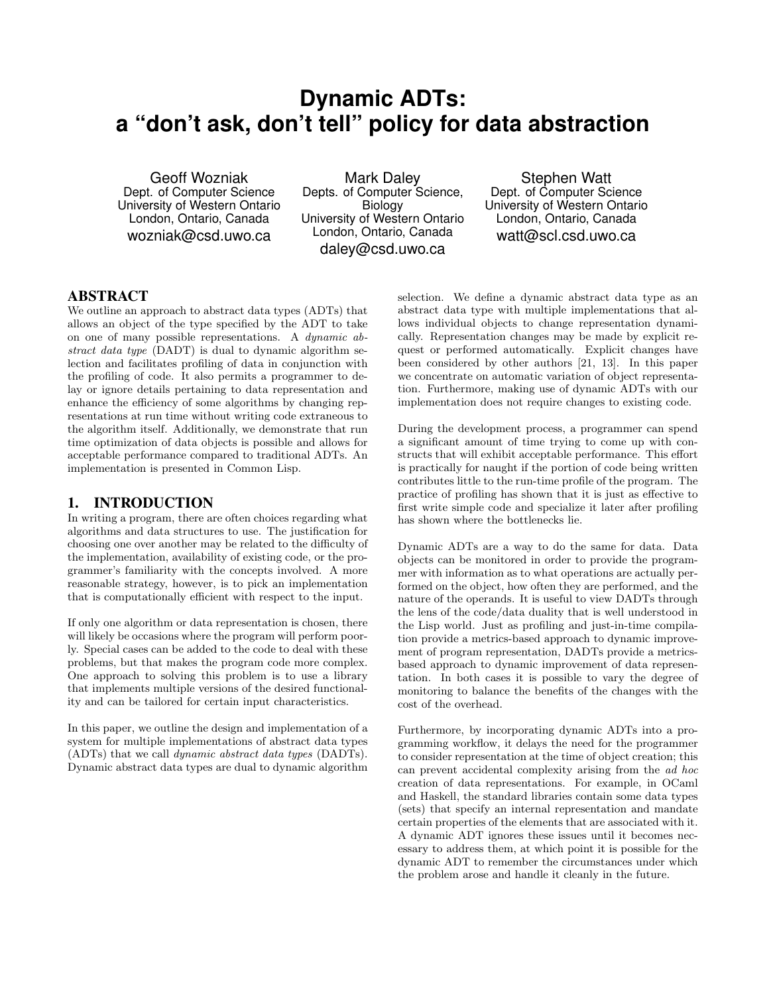# **Dynamic ADTs: a "don't ask, don't tell" policy for data abstraction**

Geoff Wozniak Dept. of Computer Science University of Western Ontario London, Ontario, Canada wozniak@csd.uwo.ca

Mark Daley Depts. of Computer Science, Biology University of Western Ontario London, Ontario, Canada daley@csd.uwo.ca

Stephen Watt Dept. of Computer Science University of Western Ontario London, Ontario, Canada watt@scl.csd.uwo.ca

# ABSTRACT

We outline an approach to abstract data types (ADTs) that allows an object of the type specified by the ADT to take on one of many possible representations. A dynamic abstract data type (DADT) is dual to dynamic algorithm selection and facilitates profiling of data in conjunction with the profiling of code. It also permits a programmer to delay or ignore details pertaining to data representation and enhance the efficiency of some algorithms by changing representations at run time without writing code extraneous to the algorithm itself. Additionally, we demonstrate that run time optimization of data objects is possible and allows for acceptable performance compared to traditional ADTs. An implementation is presented in Common Lisp.

## 1. INTRODUCTION

In writing a program, there are often choices regarding what algorithms and data structures to use. The justification for choosing one over another may be related to the difficulty of the implementation, availability of existing code, or the programmer's familiarity with the concepts involved. A more reasonable strategy, however, is to pick an implementation that is computationally efficient with respect to the input.

If only one algorithm or data representation is chosen, there will likely be occasions where the program will perform poorly. Special cases can be added to the code to deal with these problems, but that makes the program code more complex. One approach to solving this problem is to use a library that implements multiple versions of the desired functionality and can be tailored for certain input characteristics.

In this paper, we outline the design and implementation of a system for multiple implementations of abstract data types (ADTs) that we call dynamic abstract data types (DADTs). Dynamic abstract data types are dual to dynamic algorithm selection. We define a dynamic abstract data type as an abstract data type with multiple implementations that allows individual objects to change representation dynamically. Representation changes may be made by explicit request or performed automatically. Explicit changes have been considered by other authors [21, 13]. In this paper we concentrate on automatic variation of object representation. Furthermore, making use of dynamic ADTs with our implementation does not require changes to existing code.

During the development process, a programmer can spend a significant amount of time trying to come up with constructs that will exhibit acceptable performance. This effort is practically for naught if the portion of code being written contributes little to the run-time profile of the program. The practice of profiling has shown that it is just as effective to first write simple code and specialize it later after profiling has shown where the bottlenecks lie.

Dynamic ADTs are a way to do the same for data. Data objects can be monitored in order to provide the programmer with information as to what operations are actually performed on the object, how often they are performed, and the nature of the operands. It is useful to view DADTs through the lens of the code/data duality that is well understood in the Lisp world. Just as profiling and just-in-time compilation provide a metrics-based approach to dynamic improvement of program representation, DADTs provide a metricsbased approach to dynamic improvement of data representation. In both cases it is possible to vary the degree of monitoring to balance the benefits of the changes with the cost of the overhead.

Furthermore, by incorporating dynamic ADTs into a programming workflow, it delays the need for the programmer to consider representation at the time of object creation; this can prevent accidental complexity arising from the ad hoc creation of data representations. For example, in OCaml and Haskell, the standard libraries contain some data types (sets) that specify an internal representation and mandate certain properties of the elements that are associated with it. A dynamic ADT ignores these issues until it becomes necessary to address them, at which point it is possible for the dynamic ADT to remember the circumstances under which the problem arose and handle it cleanly in the future.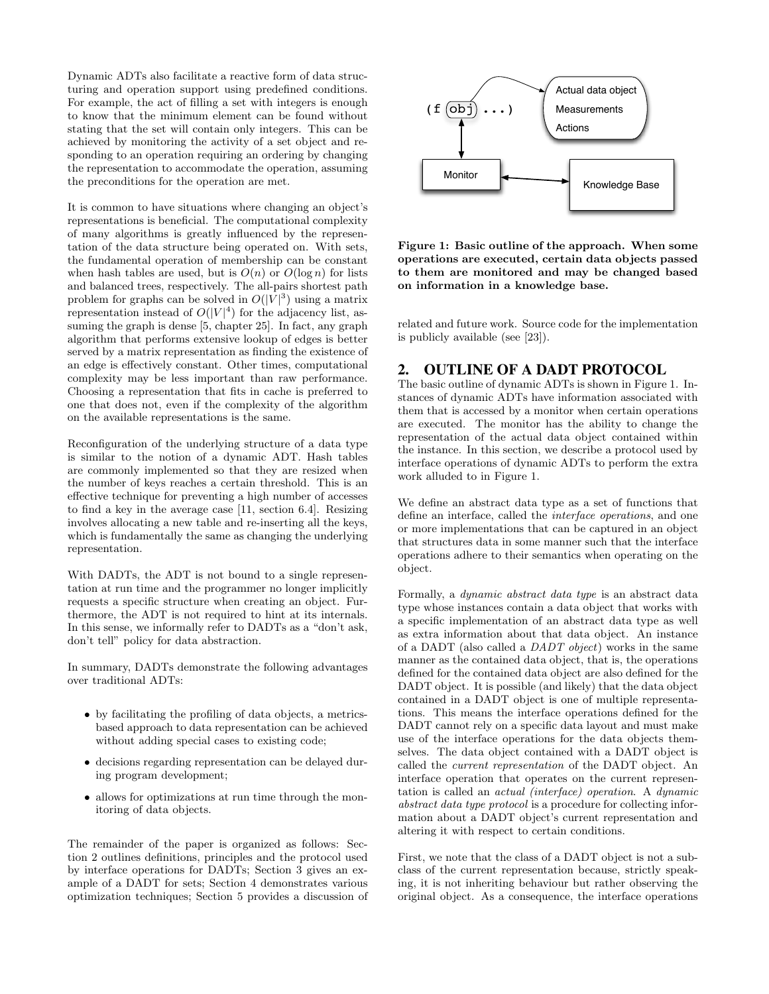Dynamic ADTs also facilitate a reactive form of data structuring and operation support using predefined conditions. For example, the act of filling a set with integers is enough to know that the minimum element can be found without stating that the set will contain only integers. This can be achieved by monitoring the activity of a set object and responding to an operation requiring an ordering by changing the representation to accommodate the operation, assuming the preconditions for the operation are met.

It is common to have situations where changing an object's representations is beneficial. The computational complexity of many algorithms is greatly influenced by the representation of the data structure being operated on. With sets, the fundamental operation of membership can be constant when hash tables are used, but is  $O(n)$  or  $O(\log n)$  for lists and balanced trees, respectively. The all-pairs shortest path problem for graphs can be solved in  $O(|V|^3)$  using a matrix representation instead of  $O(|V|^4)$  for the adjacency list, assuming the graph is dense [5, chapter 25]. In fact, any graph algorithm that performs extensive lookup of edges is better served by a matrix representation as finding the existence of an edge is effectively constant. Other times, computational complexity may be less important than raw performance. Choosing a representation that fits in cache is preferred to one that does not, even if the complexity of the algorithm on the available representations is the same.

Reconfiguration of the underlying structure of a data type is similar to the notion of a dynamic ADT. Hash tables are commonly implemented so that they are resized when the number of keys reaches a certain threshold. This is an effective technique for preventing a high number of accesses to find a key in the average case [11, section 6.4]. Resizing involves allocating a new table and re-inserting all the keys, which is fundamentally the same as changing the underlying representation.

With DADTs, the ADT is not bound to a single representation at run time and the programmer no longer implicitly requests a specific structure when creating an object. Furthermore, the ADT is not required to hint at its internals. In this sense, we informally refer to DADTs as a "don't ask, don't tell" policy for data abstraction.

In summary, DADTs demonstrate the following advantages over traditional ADTs:

- by facilitating the profiling of data objects, a metricsbased approach to data representation can be achieved without adding special cases to existing code;
- decisions regarding representation can be delayed during program development;
- allows for optimizations at run time through the monitoring of data objects.

The remainder of the paper is organized as follows: Section 2 outlines definitions, principles and the protocol used by interface operations for DADTs; Section 3 gives an example of a DADT for sets; Section 4 demonstrates various optimization techniques; Section 5 provides a discussion of



Figure 1: Basic outline of the approach. When some operations are executed, certain data objects passed to them are monitored and may be changed based on information in a knowledge base.

related and future work. Source code for the implementation is publicly available (see [23]).

## 2. OUTLINE OF A DADT PROTOCOL

The basic outline of dynamic ADTs is shown in Figure 1. Instances of dynamic ADTs have information associated with them that is accessed by a monitor when certain operations are executed. The monitor has the ability to change the representation of the actual data object contained within the instance. In this section, we describe a protocol used by interface operations of dynamic ADTs to perform the extra work alluded to in Figure 1.

We define an abstract data type as a set of functions that define an interface, called the interface operations, and one or more implementations that can be captured in an object that structures data in some manner such that the interface operations adhere to their semantics when operating on the object.

Formally, a dynamic abstract data type is an abstract data type whose instances contain a data object that works with a specific implementation of an abstract data type as well as extra information about that data object. An instance of a DADT (also called a DADT object) works in the same manner as the contained data object, that is, the operations defined for the contained data object are also defined for the DADT object. It is possible (and likely) that the data object contained in a DADT object is one of multiple representations. This means the interface operations defined for the DADT cannot rely on a specific data layout and must make use of the interface operations for the data objects themselves. The data object contained with a DADT object is called the current representation of the DADT object. An interface operation that operates on the current representation is called an actual (interface) operation. A dynamic abstract data type protocol is a procedure for collecting information about a DADT object's current representation and altering it with respect to certain conditions.

First, we note that the class of a DADT object is not a subclass of the current representation because, strictly speaking, it is not inheriting behaviour but rather observing the original object. As a consequence, the interface operations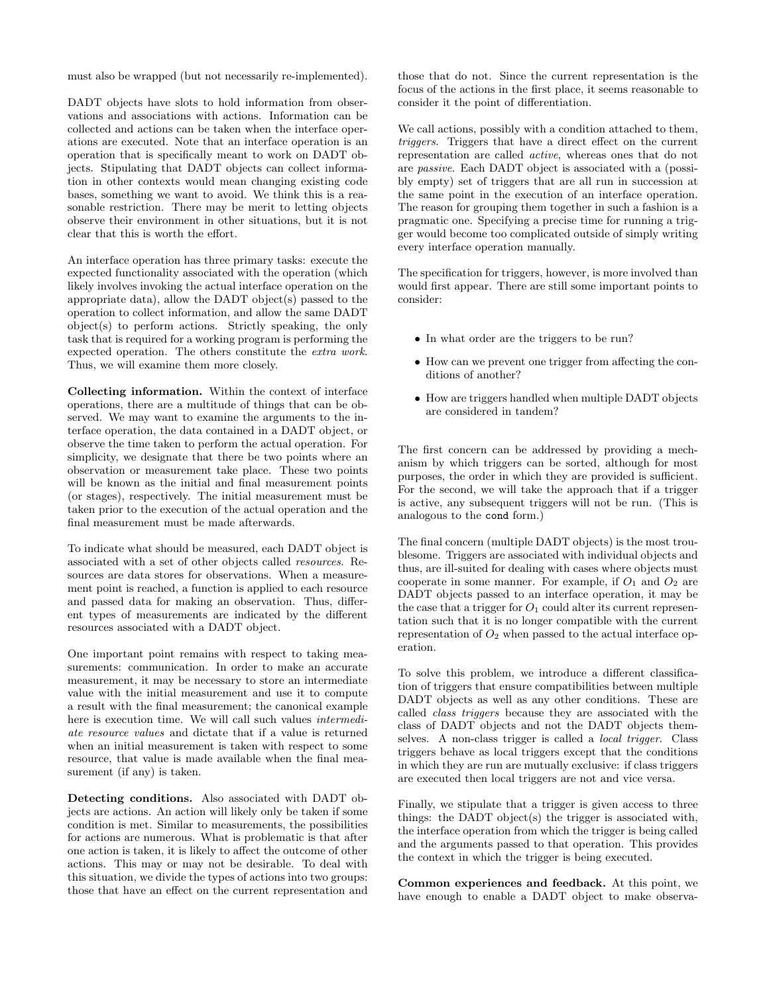must also be wrapped (but not necessarily re-implemented).

DADT objects have slots to hold information from observations and associations with actions. Information can be collected and actions can be taken when the interface operations are executed. Note that an interface operation is an operation that is specifically meant to work on DADT objects. Stipulating that DADT objects can collect information in other contexts would mean changing existing code bases, something we want to avoid. We think this is a reasonable restriction. There may be merit to letting objects observe their environment in other situations, but it is not clear that this is worth the effort.

An interface operation has three primary tasks: execute the expected functionality associated with the operation (which likely involves invoking the actual interface operation on the appropriate data), allow the DADT object(s) passed to the operation to collect information, and allow the same DADT object(s) to perform actions. Strictly speaking, the only task that is required for a working program is performing the expected operation. The others constitute the extra work. Thus, we will examine them more closely.

Collecting information. Within the context of interface operations, there are a multitude of things that can be observed. We may want to examine the arguments to the interface operation, the data contained in a DADT object, or observe the time taken to perform the actual operation. For simplicity, we designate that there be two points where an observation or measurement take place. These two points will be known as the initial and final measurement points (or stages), respectively. The initial measurement must be taken prior to the execution of the actual operation and the final measurement must be made afterwards.

To indicate what should be measured, each DADT object is associated with a set of other objects called resources. Resources are data stores for observations. When a measurement point is reached, a function is applied to each resource and passed data for making an observation. Thus, different types of measurements are indicated by the different resources associated with a DADT object.

One important point remains with respect to taking measurements: communication. In order to make an accurate measurement, it may be necessary to store an intermediate value with the initial measurement and use it to compute a result with the final measurement; the canonical example here is execution time. We will call such values intermediate resource values and dictate that if a value is returned when an initial measurement is taken with respect to some resource, that value is made available when the final measurement (if any) is taken.

Detecting conditions. Also associated with DADT objects are actions. An action will likely only be taken if some condition is met. Similar to measurements, the possibilities for actions are numerous. What is problematic is that after one action is taken, it is likely to affect the outcome of other actions. This may or may not be desirable. To deal with this situation, we divide the types of actions into two groups: those that have an effect on the current representation and

those that do not. Since the current representation is the focus of the actions in the first place, it seems reasonable to consider it the point of differentiation.

We call actions, possibly with a condition attached to them, triggers. Triggers that have a direct effect on the current representation are called active, whereas ones that do not are passive. Each DADT object is associated with a (possibly empty) set of triggers that are all run in succession at the same point in the execution of an interface operation. The reason for grouping them together in such a fashion is a pragmatic one. Specifying a precise time for running a trigger would become too complicated outside of simply writing every interface operation manually.

The specification for triggers, however, is more involved than would first appear. There are still some important points to consider:

- In what order are the triggers to be run?
- How can we prevent one trigger from affecting the conditions of another?
- How are triggers handled when multiple DADT objects are considered in tandem?

The first concern can be addressed by providing a mechanism by which triggers can be sorted, although for most purposes, the order in which they are provided is sufficient. For the second, we will take the approach that if a trigger is active, any subsequent triggers will not be run. (This is analogous to the cond form.)

The final concern (multiple DADT objects) is the most troublesome. Triggers are associated with individual objects and thus, are ill-suited for dealing with cases where objects must cooperate in some manner. For example, if  $O_1$  and  $O_2$  are DADT objects passed to an interface operation, it may be the case that a trigger for  $O_1$  could alter its current representation such that it is no longer compatible with the current representation of  $O_2$  when passed to the actual interface operation.

To solve this problem, we introduce a different classification of triggers that ensure compatibilities between multiple DADT objects as well as any other conditions. These are called class triggers because they are associated with the class of DADT objects and not the DADT objects themselves. A non-class trigger is called a local trigger. Class triggers behave as local triggers except that the conditions in which they are run are mutually exclusive: if class triggers are executed then local triggers are not and vice versa.

Finally, we stipulate that a trigger is given access to three things: the DADT object(s) the trigger is associated with, the interface operation from which the trigger is being called and the arguments passed to that operation. This provides the context in which the trigger is being executed.

Common experiences and feedback. At this point, we have enough to enable a DADT object to make observa-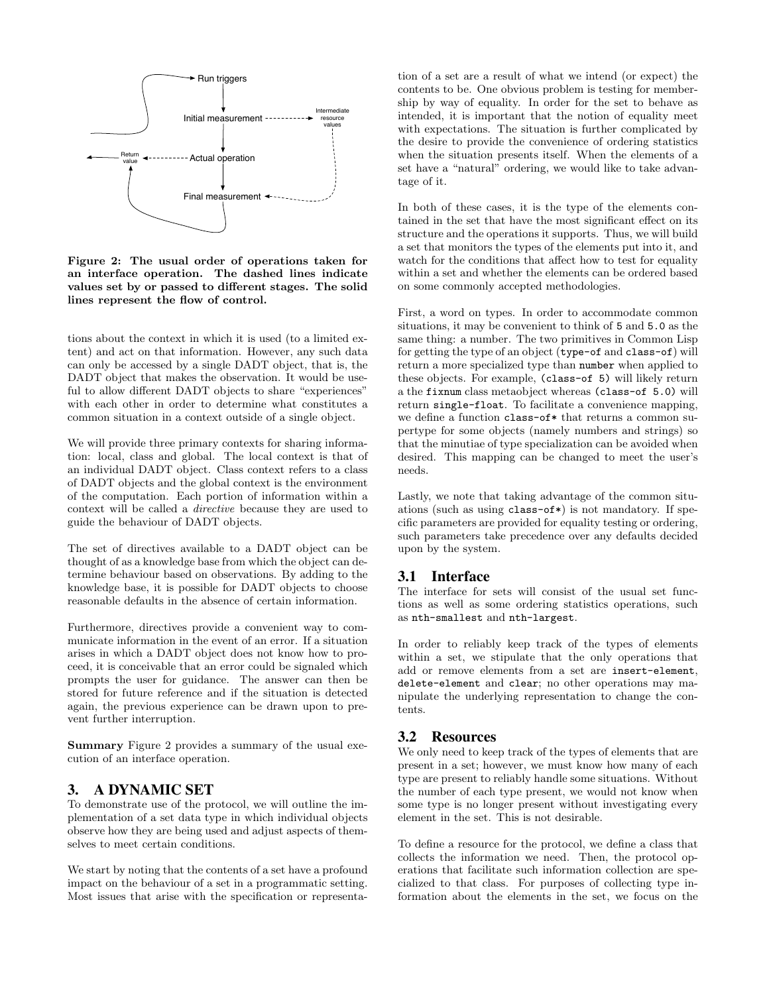

Figure 2: The usual order of operations taken for an interface operation. The dashed lines indicate values set by or passed to different stages. The solid lines represent the flow of control.

tions about the context in which it is used (to a limited extent) and act on that information. However, any such data can only be accessed by a single DADT object, that is, the DADT object that makes the observation. It would be useful to allow different DADT objects to share "experiences" with each other in order to determine what constitutes a common situation in a context outside of a single object.

We will provide three primary contexts for sharing information: local, class and global. The local context is that of an individual DADT object. Class context refers to a class of DADT objects and the global context is the environment of the computation. Each portion of information within a context will be called a directive because they are used to guide the behaviour of DADT objects.

The set of directives available to a DADT object can be thought of as a knowledge base from which the object can determine behaviour based on observations. By adding to the knowledge base, it is possible for DADT objects to choose reasonable defaults in the absence of certain information.

Furthermore, directives provide a convenient way to communicate information in the event of an error. If a situation arises in which a DADT object does not know how to proceed, it is conceivable that an error could be signaled which prompts the user for guidance. The answer can then be stored for future reference and if the situation is detected again, the previous experience can be drawn upon to prevent further interruption.

Summary Figure 2 provides a summary of the usual execution of an interface operation.

### 3. A DYNAMIC SET

To demonstrate use of the protocol, we will outline the implementation of a set data type in which individual objects observe how they are being used and adjust aspects of themselves to meet certain conditions.

We start by noting that the contents of a set have a profound impact on the behaviour of a set in a programmatic setting. Most issues that arise with the specification or representation of a set are a result of what we intend (or expect) the contents to be. One obvious problem is testing for membership by way of equality. In order for the set to behave as intended, it is important that the notion of equality meet with expectations. The situation is further complicated by the desire to provide the convenience of ordering statistics when the situation presents itself. When the elements of a set have a "natural" ordering, we would like to take advantage of it.

In both of these cases, it is the type of the elements contained in the set that have the most significant effect on its structure and the operations it supports. Thus, we will build a set that monitors the types of the elements put into it, and watch for the conditions that affect how to test for equality within a set and whether the elements can be ordered based on some commonly accepted methodologies.

First, a word on types. In order to accommodate common situations, it may be convenient to think of 5 and 5.0 as the same thing: a number. The two primitives in Common Lisp for getting the type of an object (type-of and class-of) will return a more specialized type than number when applied to these objects. For example, (class-of 5) will likely return a the fixnum class metaobject whereas (class-of 5.0) will return single-float. To facilitate a convenience mapping, we define a function class-of\* that returns a common supertype for some objects (namely numbers and strings) so that the minutiae of type specialization can be avoided when desired. This mapping can be changed to meet the user's needs.

Lastly, we note that taking advantage of the common situations (such as using class-of\*) is not mandatory. If specific parameters are provided for equality testing or ordering, such parameters take precedence over any defaults decided upon by the system.

# 3.1 Interface

The interface for sets will consist of the usual set functions as well as some ordering statistics operations, such as nth-smallest and nth-largest.

In order to reliably keep track of the types of elements within a set, we stipulate that the only operations that add or remove elements from a set are insert-element, delete-element and clear; no other operations may manipulate the underlying representation to change the contents.

#### 3.2 Resources

We only need to keep track of the types of elements that are present in a set; however, we must know how many of each type are present to reliably handle some situations. Without the number of each type present, we would not know when some type is no longer present without investigating every element in the set. This is not desirable.

To define a resource for the protocol, we define a class that collects the information we need. Then, the protocol operations that facilitate such information collection are specialized to that class. For purposes of collecting type information about the elements in the set, we focus on the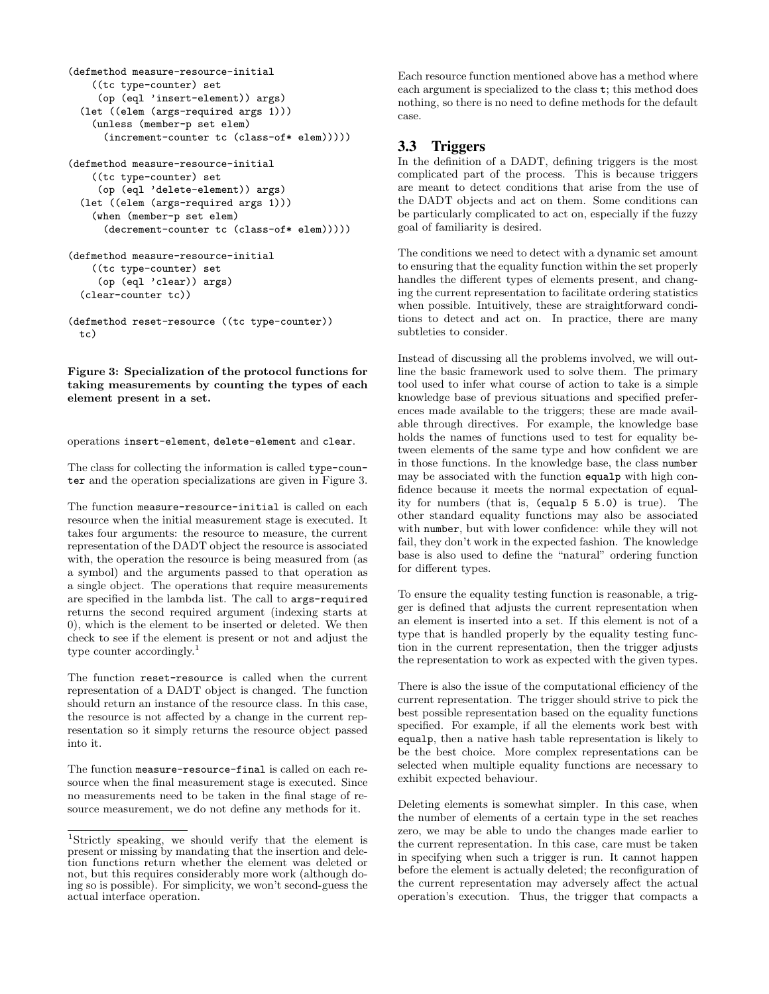```
(defmethod measure-resource-initial
    ((tc type-counter) set
     (op (eql 'insert-element)) args)
 (let ((elem (args-required args 1)))
    (unless (member-p set elem)
      (increment-counter tc (class-of* elem)))))
```

```
(defmethod measure-resource-initial
    ((tc type-counter) set
     (op (eql 'delete-element)) args)
 (let ((elem (args-required args 1)))
    (when (member-p set elem)
      (decrement-counter tc (class-of* elem)))))
(defmethod measure-resource-initial
    ((tc type-counter) set
    (op (eql 'clear)) args)
 (clear-counter tc))
```

```
(defmethod reset-resource ((tc type-counter))
 tc)
```
Figure 3: Specialization of the protocol functions for taking measurements by counting the types of each element present in a set.

operations insert-element, delete-element and clear.

The class for collecting the information is called type-counter and the operation specializations are given in Figure 3.

The function measure-resource-initial is called on each resource when the initial measurement stage is executed. It takes four arguments: the resource to measure, the current representation of the DADT object the resource is associated with, the operation the resource is being measured from (as a symbol) and the arguments passed to that operation as a single object. The operations that require measurements are specified in the lambda list. The call to args-required returns the second required argument (indexing starts at 0), which is the element to be inserted or deleted. We then check to see if the element is present or not and adjust the type counter accordingly.<sup>1</sup>

The function reset-resource is called when the current representation of a DADT object is changed. The function should return an instance of the resource class. In this case, the resource is not affected by a change in the current representation so it simply returns the resource object passed into it.

The function measure-resource-final is called on each resource when the final measurement stage is executed. Since no measurements need to be taken in the final stage of resource measurement, we do not define any methods for it.

Each resource function mentioned above has a method where each argument is specialized to the class t; this method does nothing, so there is no need to define methods for the default case.

# 3.3 Triggers

In the definition of a DADT, defining triggers is the most complicated part of the process. This is because triggers are meant to detect conditions that arise from the use of the DADT objects and act on them. Some conditions can be particularly complicated to act on, especially if the fuzzy goal of familiarity is desired.

The conditions we need to detect with a dynamic set amount to ensuring that the equality function within the set properly handles the different types of elements present, and changing the current representation to facilitate ordering statistics when possible. Intuitively, these are straightforward conditions to detect and act on. In practice, there are many subtleties to consider.

Instead of discussing all the problems involved, we will outline the basic framework used to solve them. The primary tool used to infer what course of action to take is a simple knowledge base of previous situations and specified preferences made available to the triggers; these are made available through directives. For example, the knowledge base holds the names of functions used to test for equality between elements of the same type and how confident we are in those functions. In the knowledge base, the class number may be associated with the function equalp with high confidence because it meets the normal expectation of equality for numbers (that is, (equalp 5 5.0) is true). The other standard equality functions may also be associated with number, but with lower confidence: while they will not fail, they don't work in the expected fashion. The knowledge base is also used to define the "natural" ordering function for different types.

To ensure the equality testing function is reasonable, a trigger is defined that adjusts the current representation when an element is inserted into a set. If this element is not of a type that is handled properly by the equality testing function in the current representation, then the trigger adjusts the representation to work as expected with the given types.

There is also the issue of the computational efficiency of the current representation. The trigger should strive to pick the best possible representation based on the equality functions specified. For example, if all the elements work best with equalp, then a native hash table representation is likely to be the best choice. More complex representations can be selected when multiple equality functions are necessary to exhibit expected behaviour.

Deleting elements is somewhat simpler. In this case, when the number of elements of a certain type in the set reaches zero, we may be able to undo the changes made earlier to the current representation. In this case, care must be taken in specifying when such a trigger is run. It cannot happen before the element is actually deleted; the reconfiguration of the current representation may adversely affect the actual operation's execution. Thus, the trigger that compacts a

<sup>1</sup>Strictly speaking, we should verify that the element is present or missing by mandating that the insertion and deletion functions return whether the element was deleted or not, but this requires considerably more work (although doing so is possible). For simplicity, we won't second-guess the actual interface operation.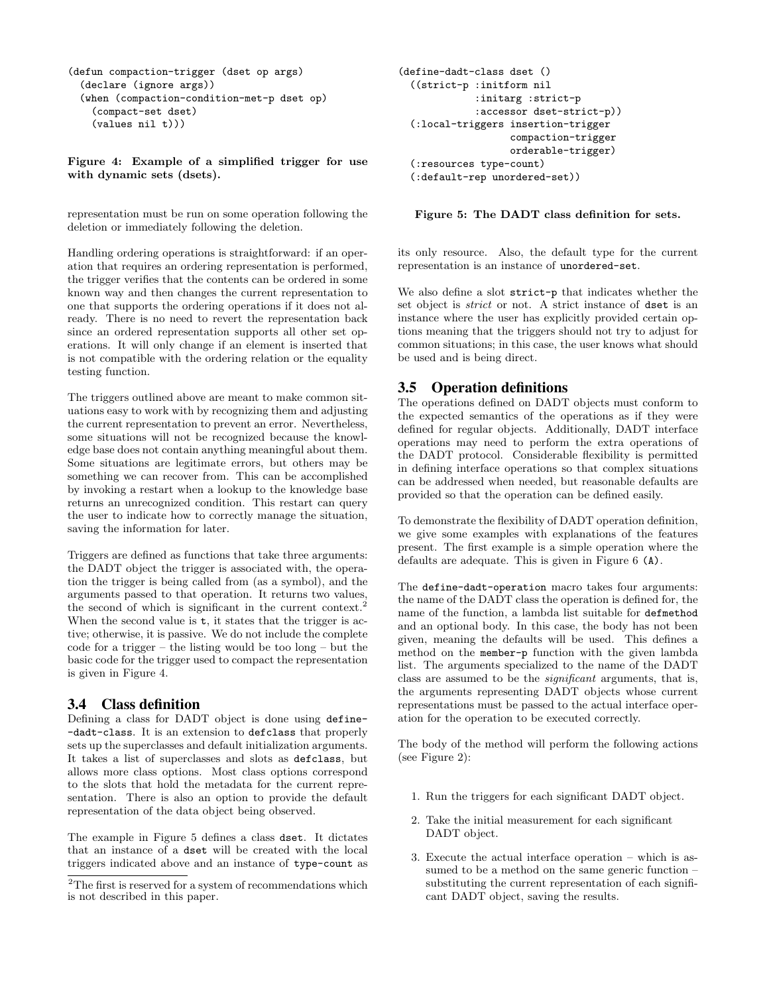```
(defun compaction-trigger (dset op args)
 (declare (ignore args))
 (when (compaction-condition-met-p dset op)
    (compact-set dset)
    (values nil t)))
```
Figure 4: Example of a simplified trigger for use with dynamic sets (dsets).

representation must be run on some operation following the deletion or immediately following the deletion.

Handling ordering operations is straightforward: if an operation that requires an ordering representation is performed, the trigger verifies that the contents can be ordered in some known way and then changes the current representation to one that supports the ordering operations if it does not already. There is no need to revert the representation back since an ordered representation supports all other set operations. It will only change if an element is inserted that is not compatible with the ordering relation or the equality testing function.

The triggers outlined above are meant to make common situations easy to work with by recognizing them and adjusting the current representation to prevent an error. Nevertheless, some situations will not be recognized because the knowledge base does not contain anything meaningful about them. Some situations are legitimate errors, but others may be something we can recover from. This can be accomplished by invoking a restart when a lookup to the knowledge base returns an unrecognized condition. This restart can query the user to indicate how to correctly manage the situation, saving the information for later.

Triggers are defined as functions that take three arguments: the DADT object the trigger is associated with, the operation the trigger is being called from (as a symbol), and the arguments passed to that operation. It returns two values, the second of which is significant in the current context. When the second value is  $t$ , it states that the trigger is active; otherwise, it is passive. We do not include the complete code for a trigger – the listing would be too long – but the basic code for the trigger used to compact the representation is given in Figure 4.

#### 3.4 Class definition

Defining a class for DADT object is done using define- -dadt-class. It is an extension to defclass that properly sets up the superclasses and default initialization arguments. It takes a list of superclasses and slots as defclass, but allows more class options. Most class options correspond to the slots that hold the metadata for the current representation. There is also an option to provide the default representation of the data object being observed.

The example in Figure 5 defines a class dset. It dictates that an instance of a dset will be created with the local triggers indicated above and an instance of type-count as

```
(define-dadt-class dset ()
  ((strict-p :initform nil
             :initarg :strict-p
             :accessor dset-strict-p))
  (:local-triggers insertion-trigger
                   compaction-trigger
                   orderable-trigger)
  (:resources type-count)
  (:default-rep unordered-set))
```
Figure 5: The DADT class definition for sets.

its only resource. Also, the default type for the current representation is an instance of unordered-set.

We also define a slot strict-p that indicates whether the set object is strict or not. A strict instance of dset is an instance where the user has explicitly provided certain options meaning that the triggers should not try to adjust for common situations; in this case, the user knows what should be used and is being direct.

#### 3.5 Operation definitions

The operations defined on DADT objects must conform to the expected semantics of the operations as if they were defined for regular objects. Additionally, DADT interface operations may need to perform the extra operations of the DADT protocol. Considerable flexibility is permitted in defining interface operations so that complex situations can be addressed when needed, but reasonable defaults are provided so that the operation can be defined easily.

To demonstrate the flexibility of DADT operation definition, we give some examples with explanations of the features present. The first example is a simple operation where the defaults are adequate. This is given in Figure 6 (A).

The define-dadt-operation macro takes four arguments: the name of the DADT class the operation is defined for, the name of the function, a lambda list suitable for defmethod and an optional body. In this case, the body has not been given, meaning the defaults will be used. This defines a method on the member-p function with the given lambda list. The arguments specialized to the name of the DADT class are assumed to be the significant arguments, that is, the arguments representing DADT objects whose current representations must be passed to the actual interface operation for the operation to be executed correctly.

The body of the method will perform the following actions (see Figure 2):

- 1. Run the triggers for each significant DADT object.
- 2. Take the initial measurement for each significant DADT object.
- 3. Execute the actual interface operation which is assumed to be a method on the same generic function – substituting the current representation of each significant DADT object, saving the results.

 $^2 \mathrm{The\ first\ is\ reserved\ for\ a\ system\ of\ recommendations\ which}$ is not described in this paper.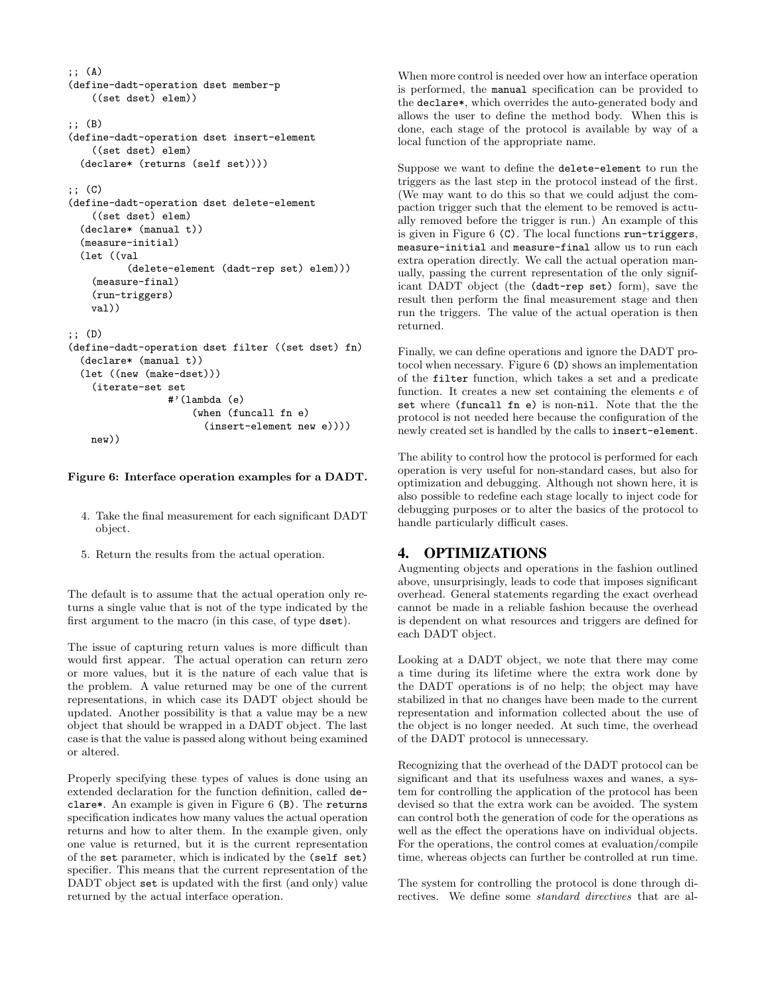```
;; (A)
(define-dadt-operation dset member-p
    ((set dset) elem))
;; (B)
(define-dadt-operation dset insert-element
    ((set dset) elem)
 (declare* (returns (self set))))
;; (C)
(define-dadt-operation dset delete-element
    ((set dset) elem)
  (declare* (manual t))
 (measure-initial)
 (let ((val
          (delete-element (dadt-rep set) elem)))
    (measure-final)
    (run-triggers)
   val))
;; (D)
(define-dadt-operation dset filter ((set dset) fn)
 (declare* (manual t))
 (let ((new (make-dset)))
    (iterate-set set
                 #'(lambda (e)
                     (when (funcall fn e)
                        (insert-element new e))))
```
#### Figure 6: Interface operation examples for a DADT.

new))

- 4. Take the final measurement for each significant DADT object.
- 5. Return the results from the actual operation.

The default is to assume that the actual operation only returns a single value that is not of the type indicated by the first argument to the macro (in this case, of type dset).

The issue of capturing return values is more difficult than would first appear. The actual operation can return zero or more values, but it is the nature of each value that is the problem. A value returned may be one of the current representations, in which case its DADT object should be updated. Another possibility is that a value may be a new object that should be wrapped in a DADT object. The last case is that the value is passed along without being examined or altered.

Properly specifying these types of values is done using an extended declaration for the function definition, called declare\*. An example is given in Figure 6 (B). The returns specification indicates how many values the actual operation returns and how to alter them. In the example given, only one value is returned, but it is the current representation of the set parameter, which is indicated by the (self set) specifier. This means that the current representation of the DADT object set is updated with the first (and only) value returned by the actual interface operation.

When more control is needed over how an interface operation is performed, the manual specification can be provided to the declare\*, which overrides the auto-generated body and allows the user to define the method body. When this is done, each stage of the protocol is available by way of a local function of the appropriate name.

Suppose we want to define the delete-element to run the triggers as the last step in the protocol instead of the first. (We may want to do this so that we could adjust the compaction trigger such that the element to be removed is actually removed before the trigger is run.) An example of this is given in Figure 6 (C). The local functions run-triggers, measure-initial and measure-final allow us to run each extra operation directly. We call the actual operation manually, passing the current representation of the only significant DADT object (the (dadt-rep set) form), save the result then perform the final measurement stage and then run the triggers. The value of the actual operation is then returned.

Finally, we can define operations and ignore the DADT protocol when necessary. Figure 6 (D) shows an implementation of the filter function, which takes a set and a predicate function. It creates a new set containing the elements e of set where (funcall fn e) is non-nil. Note that the the protocol is not needed here because the configuration of the newly created set is handled by the calls to insert-element.

The ability to control how the protocol is performed for each operation is very useful for non-standard cases, but also for optimization and debugging. Although not shown here, it is also possible to redefine each stage locally to inject code for debugging purposes or to alter the basics of the protocol to handle particularly difficult cases.

#### 4. OPTIMIZATIONS

Augmenting objects and operations in the fashion outlined above, unsurprisingly, leads to code that imposes significant overhead. General statements regarding the exact overhead cannot be made in a reliable fashion because the overhead is dependent on what resources and triggers are defined for each DADT object.

Looking at a DADT object, we note that there may come a time during its lifetime where the extra work done by the DADT operations is of no help; the object may have stabilized in that no changes have been made to the current representation and information collected about the use of the object is no longer needed. At such time, the overhead of the DADT protocol is unnecessary.

Recognizing that the overhead of the DADT protocol can be significant and that its usefulness waxes and wanes, a system for controlling the application of the protocol has been devised so that the extra work can be avoided. The system can control both the generation of code for the operations as well as the effect the operations have on individual objects. For the operations, the control comes at evaluation/compile time, whereas objects can further be controlled at run time.

The system for controlling the protocol is done through directives. We define some standard directives that are al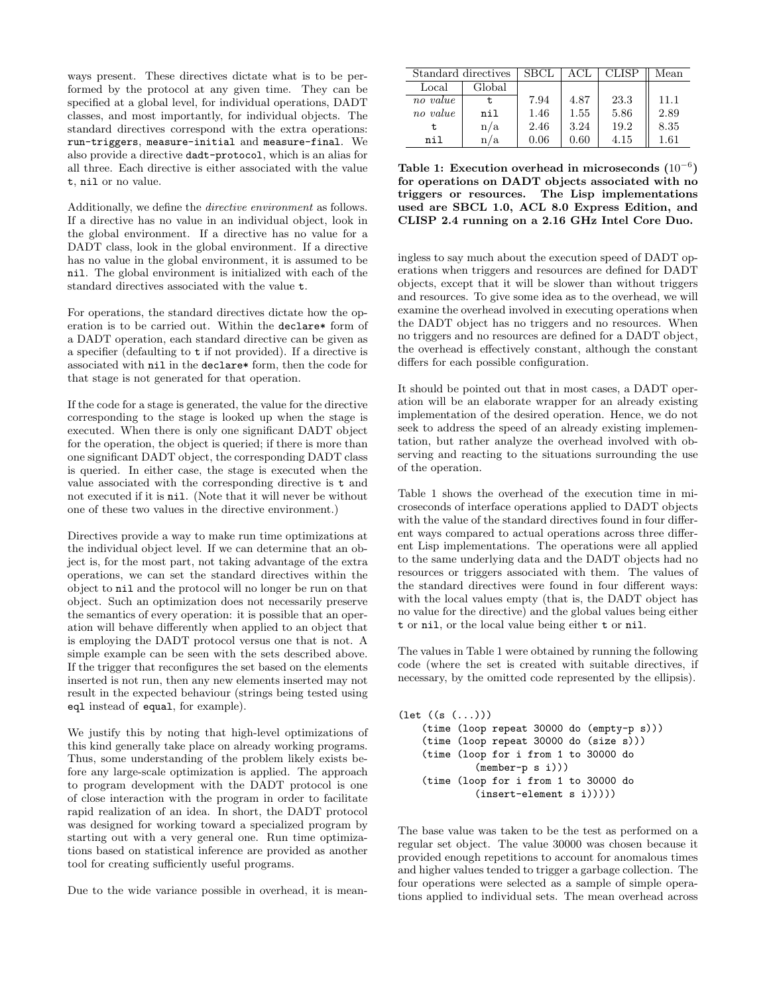ways present. These directives dictate what is to be performed by the protocol at any given time. They can be specified at a global level, for individual operations, DADT classes, and most importantly, for individual objects. The standard directives correspond with the extra operations: run-triggers, measure-initial and measure-final. We also provide a directive dadt-protocol, which is an alias for all three. Each directive is either associated with the value t, nil or no value.

Additionally, we define the directive environment as follows. If a directive has no value in an individual object, look in the global environment. If a directive has no value for a DADT class, look in the global environment. If a directive has no value in the global environment, it is assumed to be nil. The global environment is initialized with each of the standard directives associated with the value t.

For operations, the standard directives dictate how the operation is to be carried out. Within the declare\* form of a DADT operation, each standard directive can be given as a specifier (defaulting to t if not provided). If a directive is associated with nil in the declare\* form, then the code for that stage is not generated for that operation.

If the code for a stage is generated, the value for the directive corresponding to the stage is looked up when the stage is executed. When there is only one significant DADT object for the operation, the object is queried; if there is more than one significant DADT object, the corresponding DADT class is queried. In either case, the stage is executed when the value associated with the corresponding directive is t and not executed if it is nil. (Note that it will never be without one of these two values in the directive environment.)

Directives provide a way to make run time optimizations at the individual object level. If we can determine that an object is, for the most part, not taking advantage of the extra operations, we can set the standard directives within the object to nil and the protocol will no longer be run on that object. Such an optimization does not necessarily preserve the semantics of every operation: it is possible that an operation will behave differently when applied to an object that is employing the DADT protocol versus one that is not. A simple example can be seen with the sets described above. If the trigger that reconfigures the set based on the elements inserted is not run, then any new elements inserted may not result in the expected behaviour (strings being tested using eql instead of equal, for example).

We justify this by noting that high-level optimizations of this kind generally take place on already working programs. Thus, some understanding of the problem likely exists before any large-scale optimization is applied. The approach to program development with the DADT protocol is one of close interaction with the program in order to facilitate rapid realization of an idea. In short, the DADT protocol was designed for working toward a specialized program by starting out with a very general one. Run time optimizations based on statistical inference are provided as another tool for creating sufficiently useful programs.

Due to the wide variance possible in overhead, it is mean-

| Standard directives |        | <b>SBCL</b> | ACL      | CLISP | Mean     |
|---------------------|--------|-------------|----------|-------|----------|
| Local               | Global |             |          |       |          |
| no value            | t.     | 7.94        | 4.87     | 23.3  | 11.1     |
| no value            | nil    | 1.46        | 1.55     | 5.86  | 2.89     |
| t                   | n/a    | 2.46        | 3.24     | 19.2  | 8.35     |
| nil                 | /a     | 0.06        | $0.60\,$ | 4.15  | $1.61\,$ |

Table 1: Execution overhead in microseconds  $(10^{-6})$ for operations on DADT objects associated with no triggers or resources. The Lisp implementations used are SBCL 1.0, ACL 8.0 Express Edition, and CLISP 2.4 running on a 2.16 GHz Intel Core Duo.

ingless to say much about the execution speed of DADT operations when triggers and resources are defined for DADT objects, except that it will be slower than without triggers and resources. To give some idea as to the overhead, we will examine the overhead involved in executing operations when the DADT object has no triggers and no resources. When no triggers and no resources are defined for a DADT object, the overhead is effectively constant, although the constant differs for each possible configuration.

It should be pointed out that in most cases, a DADT operation will be an elaborate wrapper for an already existing implementation of the desired operation. Hence, we do not seek to address the speed of an already existing implementation, but rather analyze the overhead involved with observing and reacting to the situations surrounding the use of the operation.

Table 1 shows the overhead of the execution time in microseconds of interface operations applied to DADT objects with the value of the standard directives found in four different ways compared to actual operations across three different Lisp implementations. The operations were all applied to the same underlying data and the DADT objects had no resources or triggers associated with them. The values of the standard directives were found in four different ways: with the local values empty (that is, the DADT object has no value for the directive) and the global values being either t or nil, or the local value being either t or nil.

The values in Table 1 were obtained by running the following code (where the set is created with suitable directives, if necessary, by the omitted code represented by the ellipsis).

```
(let ((s (...)))
    (time (loop repeat 30000 do (empty-p s)))
    (time (loop repeat 30000 do (size s)))
    (time (loop for i from 1 to 30000 do
             (member-p s i)))
    (time (loop for i from 1 to 30000 do
             (insert-element s i)))))
```
The base value was taken to be the test as performed on a regular set object. The value 30000 was chosen because it provided enough repetitions to account for anomalous times and higher values tended to trigger a garbage collection. The four operations were selected as a sample of simple operations applied to individual sets. The mean overhead across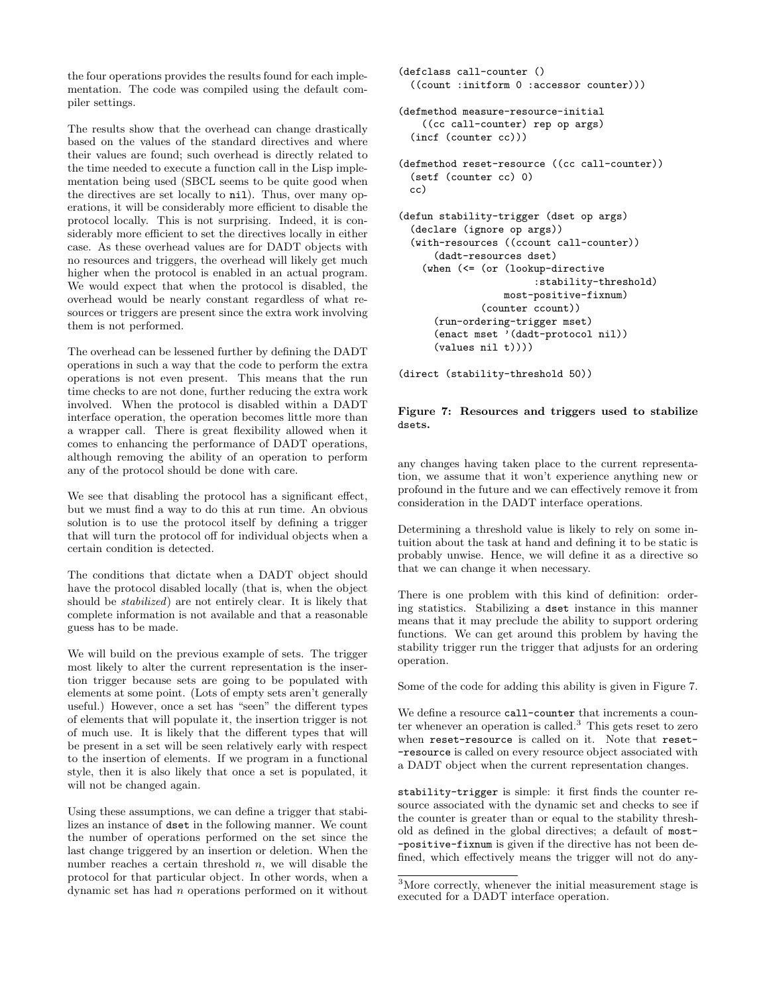the four operations provides the results found for each implementation. The code was compiled using the default compiler settings.

The results show that the overhead can change drastically based on the values of the standard directives and where their values are found; such overhead is directly related to the time needed to execute a function call in the Lisp implementation being used (SBCL seems to be quite good when the directives are set locally to nil). Thus, over many operations, it will be considerably more efficient to disable the protocol locally. This is not surprising. Indeed, it is considerably more efficient to set the directives locally in either case. As these overhead values are for DADT objects with no resources and triggers, the overhead will likely get much higher when the protocol is enabled in an actual program. We would expect that when the protocol is disabled, the overhead would be nearly constant regardless of what resources or triggers are present since the extra work involving them is not performed.

The overhead can be lessened further by defining the DADT operations in such a way that the code to perform the extra operations is not even present. This means that the run time checks to are not done, further reducing the extra work involved. When the protocol is disabled within a DADT interface operation, the operation becomes little more than a wrapper call. There is great flexibility allowed when it comes to enhancing the performance of DADT operations, although removing the ability of an operation to perform any of the protocol should be done with care.

We see that disabling the protocol has a significant effect, but we must find a way to do this at run time. An obvious solution is to use the protocol itself by defining a trigger that will turn the protocol off for individual objects when a certain condition is detected.

The conditions that dictate when a DADT object should have the protocol disabled locally (that is, when the object should be stabilized) are not entirely clear. It is likely that complete information is not available and that a reasonable guess has to be made.

We will build on the previous example of sets. The trigger most likely to alter the current representation is the insertion trigger because sets are going to be populated with elements at some point. (Lots of empty sets aren't generally useful.) However, once a set has "seen" the different types of elements that will populate it, the insertion trigger is not of much use. It is likely that the different types that will be present in a set will be seen relatively early with respect to the insertion of elements. If we program in a functional style, then it is also likely that once a set is populated, it will not be changed again.

Using these assumptions, we can define a trigger that stabilizes an instance of dset in the following manner. We count the number of operations performed on the set since the last change triggered by an insertion or deletion. When the number reaches a certain threshold  $n$ , we will disable the protocol for that particular object. In other words, when a dynamic set has had n operations performed on it without

```
(defclass call-counter ()
 ((count :initform 0 :accessor counter)))
(defmethod measure-resource-initial
    ((cc call-counter) rep op args)
 (incf (counter cc)))
(defmethod reset-resource ((cc call-counter))
 (setf (counter cc) 0)
 cc)
(defun stability-trigger (dset op args)
 (declare (ignore op args))
 (with-resources ((ccount call-counter))
      (dadt-resources dset)
    (when (<= (or (lookup-directive
                       :stability-threshold)
                  most-positive-fixnum)
              (counter ccount))
      (run-ordering-trigger mset)
      (enact mset '(dadt-protocol nil))
      (values nil t))))
```
(direct (stability-threshold 50))

#### Figure 7: Resources and triggers used to stabilize dsets.

any changes having taken place to the current representation, we assume that it won't experience anything new or profound in the future and we can effectively remove it from consideration in the DADT interface operations.

Determining a threshold value is likely to rely on some intuition about the task at hand and defining it to be static is probably unwise. Hence, we will define it as a directive so that we can change it when necessary.

There is one problem with this kind of definition: ordering statistics. Stabilizing a dset instance in this manner means that it may preclude the ability to support ordering functions. We can get around this problem by having the stability trigger run the trigger that adjusts for an ordering operation.

Some of the code for adding this ability is given in Figure 7.

We define a resource call-counter that increments a counter whenever an operation is called.<sup>3</sup> This gets reset to zero when reset-resource is called on it. Note that reset- -resource is called on every resource object associated with a DADT object when the current representation changes.

stability-trigger is simple: it first finds the counter resource associated with the dynamic set and checks to see if the counter is greater than or equal to the stability threshold as defined in the global directives; a default of most- -positive-fixnum is given if the directive has not been defined, which effectively means the trigger will not do any-

<sup>3</sup>More correctly, whenever the initial measurement stage is executed for a DADT interface operation.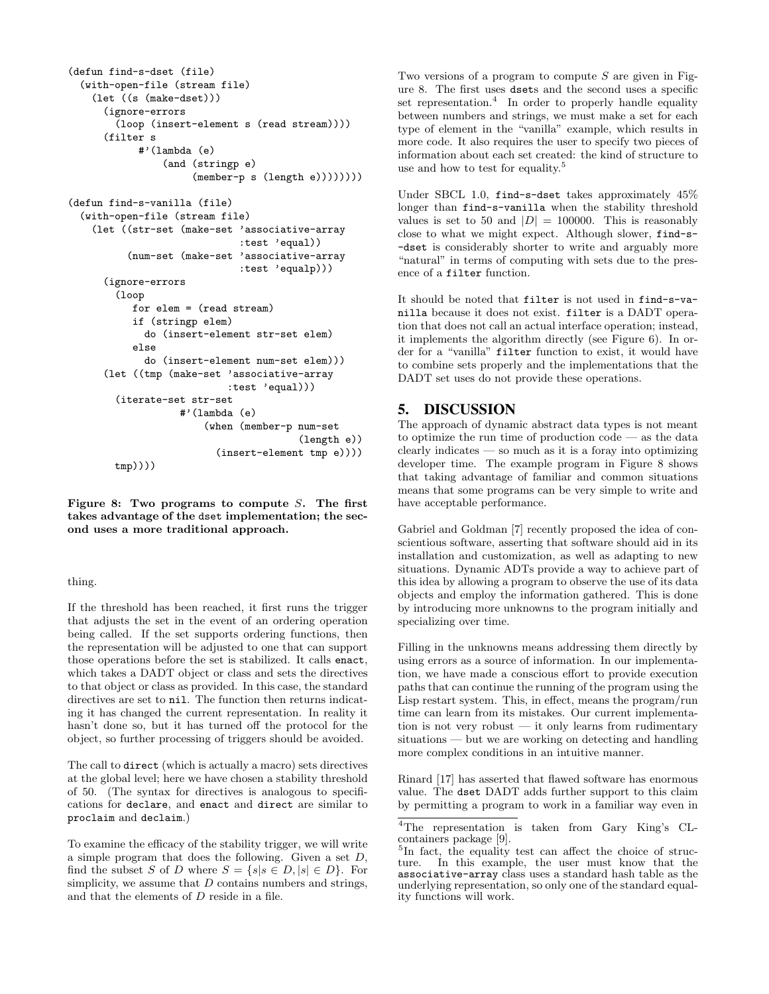```
(defun find-s-dset (file)
 (with-open-file (stream file)
    (let ((s (make-dset)))
      (ignore-errors
        (loop (insert-element s (read stream))))
      (filter s
            #'(lambda (e)
                (and (stringp e)
                     (member-p s (length e))))))))
(defun find-s-vanilla (file)
 (with-open-file (stream file)
    (let ((str-set (make-set 'associative-array
                             :test 'equal))
          (num-set (make-set 'associative-array
                              :test 'equalp)))
      (ignore-errors
        (loop
           for elem = (read stream)
           if (stringp elem)
             do (insert-element str-set elem)
           else
             do (insert-element num-set elem)))
```

```
(let ((tmp (make-set 'associative-array
                     :test 'equal)))
 (iterate-set str-set
             #'(lambda (e)
                 (when (member-p num-set
                                  (length e))
                   (insert-element tmp e))))
 tmp))))
```
Figure 8: Two programs to compute  $S$ . The first takes advantage of the dset implementation; the second uses a more traditional approach.

#### thing.

If the threshold has been reached, it first runs the trigger that adjusts the set in the event of an ordering operation being called. If the set supports ordering functions, then the representation will be adjusted to one that can support those operations before the set is stabilized. It calls enact, which takes a DADT object or class and sets the directives to that object or class as provided. In this case, the standard directives are set to nil. The function then returns indicating it has changed the current representation. In reality it hasn't done so, but it has turned off the protocol for the object, so further processing of triggers should be avoided.

The call to direct (which is actually a macro) sets directives at the global level; here we have chosen a stability threshold of 50. (The syntax for directives is analogous to specifications for declare, and enact and direct are similar to proclaim and declaim.)

To examine the efficacy of the stability trigger, we will write a simple program that does the following. Given a set D, find the subset S of D where  $S = \{s | s \in D, |s| \in D\}$ . For simplicity, we assume that  $D$  contains numbers and strings, and that the elements of D reside in a file.

Two versions of a program to compute  $S$  are given in Figure 8. The first uses dsets and the second uses a specific set representation.<sup>4</sup> In order to properly handle equality between numbers and strings, we must make a set for each type of element in the "vanilla" example, which results in more code. It also requires the user to specify two pieces of information about each set created: the kind of structure to use and how to test for equality.<sup>5</sup>

Under SBCL 1.0, find-s-dset takes approximately 45% longer than find-s-vanilla when the stability threshold values is set to 50 and  $|D| = 100000$ . This is reasonably close to what we might expect. Although slower, find-s- -dset is considerably shorter to write and arguably more "natural" in terms of computing with sets due to the presence of a filter function.

It should be noted that filter is not used in find-s-vanilla because it does not exist. filter is a DADT operation that does not call an actual interface operation; instead, it implements the algorithm directly (see Figure 6). In order for a "vanilla" filter function to exist, it would have to combine sets properly and the implementations that the DADT set uses do not provide these operations.

# 5. DISCUSSION

The approach of dynamic abstract data types is not meant to optimize the run time of production code — as the data clearly indicates — so much as it is a foray into optimizing developer time. The example program in Figure 8 shows that taking advantage of familiar and common situations means that some programs can be very simple to write and have acceptable performance.

Gabriel and Goldman [7] recently proposed the idea of conscientious software, asserting that software should aid in its installation and customization, as well as adapting to new situations. Dynamic ADTs provide a way to achieve part of this idea by allowing a program to observe the use of its data objects and employ the information gathered. This is done by introducing more unknowns to the program initially and specializing over time.

Filling in the unknowns means addressing them directly by using errors as a source of information. In our implementation, we have made a conscious effort to provide execution paths that can continue the running of the program using the Lisp restart system. This, in effect, means the program/run time can learn from its mistakes. Our current implementation is not very robust — it only learns from rudimentary situations — but we are working on detecting and handling more complex conditions in an intuitive manner.

Rinard [17] has asserted that flawed software has enormous value. The dset DADT adds further support to this claim by permitting a program to work in a familiar way even in

<sup>4</sup>The representation is taken from Gary King's CLcontainers package [9].

<sup>&</sup>lt;sup>5</sup>In fact, the equality test can affect the choice of structure. In this example, the user must know that the associative-array class uses a standard hash table as the underlying representation, so only one of the standard equality functions will work.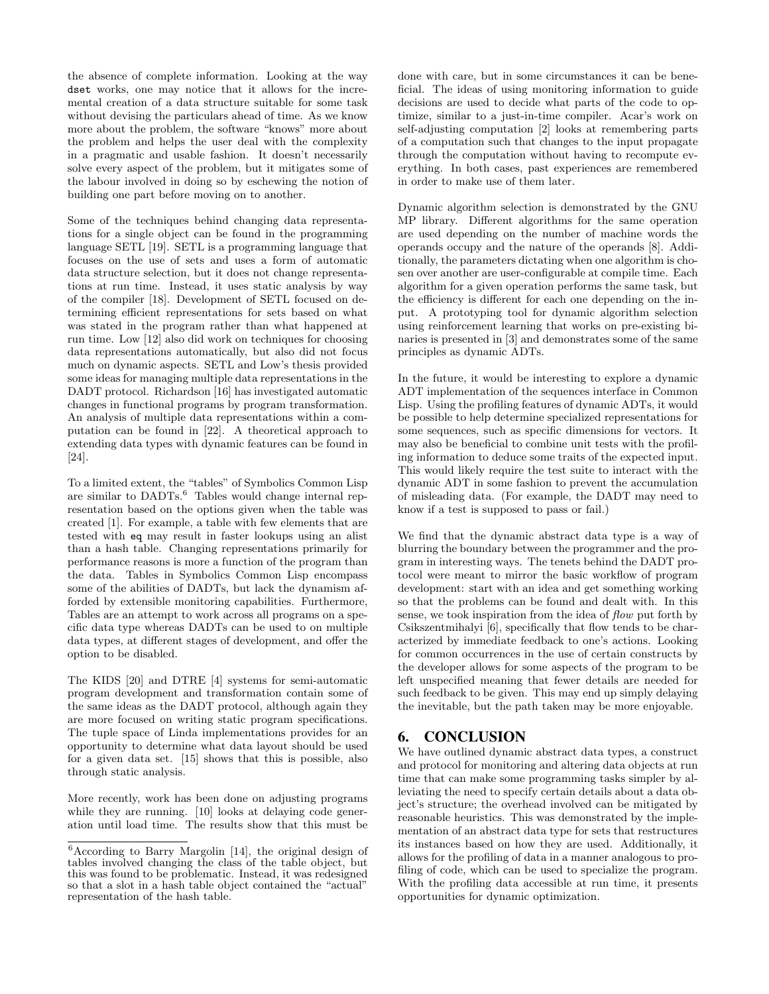the absence of complete information. Looking at the way dset works, one may notice that it allows for the incremental creation of a data structure suitable for some task without devising the particulars ahead of time. As we know more about the problem, the software "knows" more about the problem and helps the user deal with the complexity in a pragmatic and usable fashion. It doesn't necessarily solve every aspect of the problem, but it mitigates some of the labour involved in doing so by eschewing the notion of building one part before moving on to another.

Some of the techniques behind changing data representations for a single object can be found in the programming language SETL [19]. SETL is a programming language that focuses on the use of sets and uses a form of automatic data structure selection, but it does not change representations at run time. Instead, it uses static analysis by way of the compiler [18]. Development of SETL focused on determining efficient representations for sets based on what was stated in the program rather than what happened at run time. Low [12] also did work on techniques for choosing data representations automatically, but also did not focus much on dynamic aspects. SETL and Low's thesis provided some ideas for managing multiple data representations in the DADT protocol. Richardson [16] has investigated automatic changes in functional programs by program transformation. An analysis of multiple data representations within a computation can be found in [22]. A theoretical approach to extending data types with dynamic features can be found in [24].

To a limited extent, the "tables" of Symbolics Common Lisp are similar to  $DADTS$ .<sup>6</sup> Tables would change internal representation based on the options given when the table was created [1]. For example, a table with few elements that are tested with eq may result in faster lookups using an alist than a hash table. Changing representations primarily for performance reasons is more a function of the program than the data. Tables in Symbolics Common Lisp encompass some of the abilities of DADTs, but lack the dynamism afforded by extensible monitoring capabilities. Furthermore, Tables are an attempt to work across all programs on a specific data type whereas DADTs can be used to on multiple data types, at different stages of development, and offer the option to be disabled.

The KIDS [20] and DTRE [4] systems for semi-automatic program development and transformation contain some of the same ideas as the DADT protocol, although again they are more focused on writing static program specifications. The tuple space of Linda implementations provides for an opportunity to determine what data layout should be used for a given data set. [15] shows that this is possible, also through static analysis.

More recently, work has been done on adjusting programs while they are running. [10] looks at delaying code generation until load time. The results show that this must be done with care, but in some circumstances it can be beneficial. The ideas of using monitoring information to guide decisions are used to decide what parts of the code to optimize, similar to a just-in-time compiler. Acar's work on self-adjusting computation [2] looks at remembering parts of a computation such that changes to the input propagate through the computation without having to recompute everything. In both cases, past experiences are remembered in order to make use of them later.

Dynamic algorithm selection is demonstrated by the GNU MP library. Different algorithms for the same operation are used depending on the number of machine words the operands occupy and the nature of the operands [8]. Additionally, the parameters dictating when one algorithm is chosen over another are user-configurable at compile time. Each algorithm for a given operation performs the same task, but the efficiency is different for each one depending on the input. A prototyping tool for dynamic algorithm selection using reinforcement learning that works on pre-existing binaries is presented in [3] and demonstrates some of the same principles as dynamic ADTs.

In the future, it would be interesting to explore a dynamic ADT implementation of the sequences interface in Common Lisp. Using the profiling features of dynamic ADTs, it would be possible to help determine specialized representations for some sequences, such as specific dimensions for vectors. It may also be beneficial to combine unit tests with the profiling information to deduce some traits of the expected input. This would likely require the test suite to interact with the dynamic ADT in some fashion to prevent the accumulation of misleading data. (For example, the DADT may need to know if a test is supposed to pass or fail.)

We find that the dynamic abstract data type is a way of blurring the boundary between the programmer and the program in interesting ways. The tenets behind the DADT protocol were meant to mirror the basic workflow of program development: start with an idea and get something working so that the problems can be found and dealt with. In this sense, we took inspiration from the idea of flow put forth by Csikszentmihalyi [6], specifically that flow tends to be characterized by immediate feedback to one's actions. Looking for common occurrences in the use of certain constructs by the developer allows for some aspects of the program to be left unspecified meaning that fewer details are needed for such feedback to be given. This may end up simply delaying the inevitable, but the path taken may be more enjoyable.

# 6. CONCLUSION

We have outlined dynamic abstract data types, a construct and protocol for monitoring and altering data objects at run time that can make some programming tasks simpler by alleviating the need to specify certain details about a data object's structure; the overhead involved can be mitigated by reasonable heuristics. This was demonstrated by the implementation of an abstract data type for sets that restructures its instances based on how they are used. Additionally, it allows for the profiling of data in a manner analogous to profiling of code, which can be used to specialize the program. With the profiling data accessible at run time, it presents opportunities for dynamic optimization.

<sup>6</sup>According to Barry Margolin [14], the original design of tables involved changing the class of the table object, but this was found to be problematic. Instead, it was redesigned so that a slot in a hash table object contained the "actual" representation of the hash table.